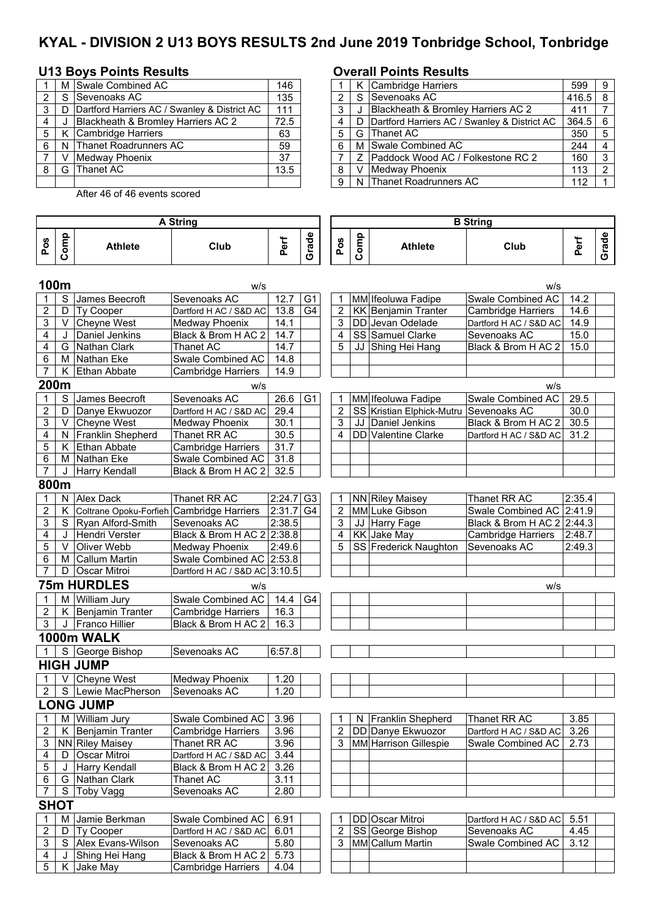# **KYAL - DIVISION 2 U13 BOYS RESULTS 2nd June 2019 Tonbridge School, Tonbridge**

## **U13 Boys Points Results Overall Points Results**

Ī

|   |      | M Swale Combined AC                            | 146  |   |   | K Cambridge Harriers                         |
|---|------|------------------------------------------------|------|---|---|----------------------------------------------|
|   |      | S Sevenoaks AC                                 | 135  |   |   | S Sevenoaks AC                               |
| 3 |      | D Dartford Harriers AC / Swanley & District AC | 111  |   |   | Blackheath & Bromley Harriers AC 2           |
|   |      | Blackheath & Bromley Harriers AC 2             | 72.5 |   | D | Dartford Harriers AC / Swanley & District AC |
| 5 |      | K Cambridge Harriers                           | 63   | 5 |   | G Thanet AC                                  |
| 6 |      | N Thanet Roadrunners AC                        | 59   | 6 |   | M Swale Combined AC                          |
|   |      | Medway Phoenix                                 | 37   |   | 7 | Paddock Wood AC / Folkestone RC 2            |
| 8 | G l' | Thanet AC                                      | 13.5 | 8 |   | Medway Phoenix                               |
|   |      |                                                |      | 9 |   | N Thanet Roadrunners AC                      |

After 46 of 46 events scored

|        |              | M Swale Combined AC                          | 146  |   |                | K Cambridge Harriers                           | 599       | -9  |
|--------|--------------|----------------------------------------------|------|---|----------------|------------------------------------------------|-----------|-----|
| $^{2}$ | -S           | Sevenoaks AC                                 | 135  |   |                | S Sevenoaks AC                                 | $416.5$ 8 |     |
| 3      | D            | Dartford Harriers AC / Swanley & District AC | 111  |   |                | Blackheath & Bromley Harriers AC 2             | 411       |     |
| 4      |              | Blackheath & Bromley Harriers AC 2           | 72.5 |   |                | D Dartford Harriers AC / Swanley & District AC | $364.5$ 6 |     |
| 5      | К            | Cambridge Harriers                           | 63   | 5 |                | G Thanet AC                                    | 350       |     |
| 6      | <sub>N</sub> | <b>Thanet Roadrunners AC</b>                 | 59   | 6 |                | M Swale Combined AC                            | 244       |     |
|        |              | Medway Phoenix                               | 37   |   | $\overline{z}$ | <b>Paddock Wood AC / Folkestone RC 2</b>       | 160       | ູ   |
| 8 I    | G            | <b>Thanet AC</b>                             | 13.5 | 8 | V              | Medway Phoenix                                 | 113       | - 2 |
|        |              |                                              |      | 9 |                | N Thanet Roadrunners AC                        | 112       |     |
|        |              |                                              |      |   |                |                                                |           |     |

 $\overline{\phantom{0}}$ 

|                |             |                                           | <b>A String</b>               |                   |                |                         | <b>B</b> String |                            |                            |        |       |  |  |
|----------------|-------------|-------------------------------------------|-------------------------------|-------------------|----------------|-------------------------|-----------------|----------------------------|----------------------------|--------|-------|--|--|
| Pos            | Comp        | <b>Athlete</b>                            | Club                          | Perf              | Grade          | Pos                     | Comp            | <b>Athlete</b>             | Club                       | Perf   | Grade |  |  |
| 100m           |             |                                           | w/s                           |                   |                |                         |                 |                            | w/s                        |        |       |  |  |
| 1              | S           | James Beecroft                            | Sevenoaks AC                  | 12.7              | G <sub>1</sub> | $\mathbf 1$             |                 | MM Ifeoluwa Fadipe         | Swale Combined AC          | 14.2   |       |  |  |
| $\overline{c}$ | D           | Ty Cooper                                 | Dartford H AC / S&D AC        | 13.8              | G4             | $\overline{2}$          |                 | <b>KK</b> Benjamin Tranter | <b>Cambridge Harriers</b>  | 14.6   |       |  |  |
| 3              | V.          | Cheyne West                               | <b>Medway Phoenix</b>         | 14.1              |                | 3                       |                 | DD Jevan Odelade           | Dartford H AC / S&D AC     | 14.9   |       |  |  |
| 4              | J           | Daniel Jenkins                            | Black & Brom H AC 2           | 14.7              |                | 4                       |                 | SS Samuel Clarke           | Sevenoaks AC               | 15.0   |       |  |  |
| 4              |             | G Nathan Clark                            | Thanet AC                     | 14.7              |                | 5                       |                 | JJ Shing Hei Hang          | Black & Brom H AC 2        | 15.0   |       |  |  |
| 6              |             | M Nathan Eke                              | Swale Combined AC             | 14.8              |                |                         |                 |                            |                            |        |       |  |  |
| 7              | K.          | Ethan Abbate                              | <b>Cambridge Harriers</b>     | 14.9              |                |                         |                 |                            |                            |        |       |  |  |
| 200m           |             |                                           | w/s                           |                   |                |                         |                 |                            | W/S                        |        |       |  |  |
| 1              | S           | James Beecroft                            | Sevenoaks AC                  | 26.6              | G <sub>1</sub> | 1                       |                 | MM Ifeoluwa Fadipe         | Swale Combined AC          | 29.5   |       |  |  |
| 2              | D           | Danye Ekwuozor                            | Dartford H AC / S&D AC        | 29.4              |                | $\overline{c}$          |                 | SS Kristian Elphick-Mutru  | Sevenoaks AC               | 30.0   |       |  |  |
| 3              |             | V Cheyne West                             | Medway Phoenix                | 30.1              |                | 3                       |                 | JJ Daniel Jenkins          | Black & Brom H AC 2        | 30.5   |       |  |  |
| 4              |             | N Franklin Shepherd                       | Thanet RR AC                  | 30.5              |                | 4                       |                 | DD Valentine Clarke        | Dartford H AC / S&D AC     | 31.2   |       |  |  |
| 5              |             | K Ethan Abbate                            | <b>Cambridge Harriers</b>     | $\overline{31.7}$ |                |                         |                 |                            |                            |        |       |  |  |
| 6              |             | M Nathan Eke                              | Swale Combined AC             | 31.8              |                |                         |                 |                            |                            |        |       |  |  |
| 7              | J           | Harry Kendall                             | Black & Brom H AC 2           | 32.5              |                |                         |                 |                            |                            |        |       |  |  |
| 800m           |             |                                           |                               |                   |                |                         |                 |                            |                            |        |       |  |  |
| 1              |             | N Alex Dack                               | Thanet RR AC                  | 2:24.7            | G <sub>3</sub> | $\mathbf 1$             |                 | <b>NN</b> Riley Maisey     | Thanet RR AC               | 2:35.4 |       |  |  |
| $\overline{2}$ | K.          | Coltrane Opoku-Forfieh Cambridge Harriers |                               | 2:31.7            | G <sub>4</sub> | $\overline{2}$          |                 | MM Luke Gibson             | Swale Combined AC 2:41.9   |        |       |  |  |
| 3              |             | S Ryan Alford-Smith                       | Sevenoaks AC                  | 2:38.5            |                | 3                       |                 | JJ Harry Fage              | Black & Brom H AC 2 2:44.3 |        |       |  |  |
| 4              | J           | Hendri Verster                            | Black & Brom H AC 2           | 2:38.8            |                | 4                       |                 | KK Jake May                | <b>Cambridge Harriers</b>  | 2:48.7 |       |  |  |
| 5              | V           | Oliver Webb                               | Medway Phoenix                | 2:49.6            |                | 5                       |                 | SS Frederick Naughton      | Sevenoaks AC               | 2:49.3 |       |  |  |
| 6              | м           | <b>Callum Martin</b>                      | Swale Combined AC 2:53.8      |                   |                |                         |                 |                            |                            |        |       |  |  |
| $\overline{7}$ | D           | <b>Oscar Mitroi</b>                       | Dartford H AC / S&D AC 3:10.5 |                   |                |                         |                 |                            |                            |        |       |  |  |
|                |             | <b>75m HURDLES</b>                        | w/s                           |                   |                |                         |                 |                            | w/s                        |        |       |  |  |
|                | м           | <b>William Jury</b>                       | Swale Combined AC             | 14.4              | G4             |                         |                 |                            |                            |        |       |  |  |
| 2              |             | K Benjamin Tranter                        | Cambridge Harriers            | 16.3              |                |                         |                 |                            |                            |        |       |  |  |
| 3              |             | J Franco Hillier                          | Black & Brom H AC 2           | 16.3              |                |                         |                 |                            |                            |        |       |  |  |
|                |             | 1000m WALK                                |                               |                   |                |                         |                 |                            |                            |        |       |  |  |
|                | S           | George Bishop                             | Sevenoaks AC                  | 6:57.8            |                |                         |                 |                            |                            |        |       |  |  |
|                |             | <b>HIGH JUMP</b>                          |                               |                   |                |                         |                 |                            |                            |        |       |  |  |
|                | V.          | Cheyne West                               | Medway Phoenix                | 1.20              |                |                         |                 |                            |                            |        |       |  |  |
| 2              |             | S Lewie MacPherson                        | Sevenoaks AC                  | 1.20              |                |                         |                 |                            |                            |        |       |  |  |
|                |             | <b>ONG JUMP</b>                           |                               |                   |                |                         |                 |                            |                            |        |       |  |  |
| 1              |             | M William Jury                            | Swale Combined AC             | 3.96              |                | 1                       |                 | N Franklin Shepherd        | Thanet RR AC               | 3.85   |       |  |  |
| 2              | K.          | Benjamin Tranter                          | <b>Cambridge Harriers</b>     | 3.96              |                | $\overline{\mathbf{c}}$ |                 | DD Danye Ekwuozor          | Dartford H AC / S&D AC     | 3.26   |       |  |  |
| 3              |             | <b>NN Riley Maisey</b>                    | Thanet RR AC                  | 3.96              |                | 3                       |                 | MM Harrison Gillespie      | Swale Combined AC          | 2.73   |       |  |  |
| 4              |             | D Oscar Mitroi                            | Dartford H AC / S&D AC        | 3.44              |                |                         |                 |                            |                            |        |       |  |  |
| 5              | J           | <b>Harry Kendall</b>                      | Black & Brom H AC 2           | 3.26              |                |                         |                 |                            |                            |        |       |  |  |
| 6              |             | G Nathan Clark                            | Thanet AC                     | 3.11              |                |                         |                 |                            |                            |        |       |  |  |
| 7              | S           | Toby Vagg                                 | Sevenoaks AC                  | 2.80              |                |                         |                 |                            |                            |        |       |  |  |
|                | <b>SHOT</b> |                                           |                               |                   |                |                         |                 |                            |                            |        |       |  |  |
| 1              | м           | Jamie Berkman                             | Swale Combined AC             | 6.91              |                | 1                       |                 | DD Oscar Mitroi            | Dartford H AC / S&D AC     | 5.51   |       |  |  |
| $\overline{c}$ | D           | Ty Cooper                                 | Dartford H AC / S&D AC        | 6.01              |                | 2                       |                 | SS George Bishop           | Sevenoaks AC               | 4.45   |       |  |  |
| 3              |             | S Alex Evans-Wilson                       | Sevenoaks AC                  | 5.80              |                | 3                       |                 | MM Callum Martin           | <b>Swale Combined AC</b>   | 3.12   |       |  |  |
| 4              | J           | Shing Hei Hang                            | Black & Brom H AC 2           | 5.73              |                |                         |                 |                            |                            |        |       |  |  |
| $\sqrt{5}$     |             | K Jake May                                | Cambridge Harriers            | 4.04              |                |                         |                 |                            |                            |        |       |  |  |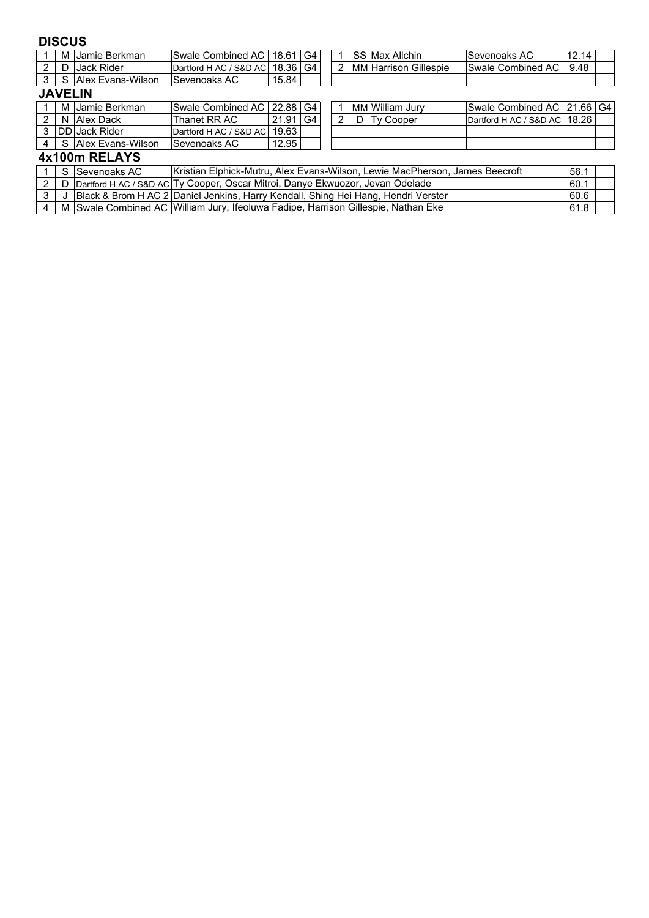## **DISCUS**

|                |  | M IJamie Berkman      | <b>Swale Combined AC</b>                                                                  | 18.61    | G4 |               |  | SS Max Allchin        | lSevenoaks AC                | 12.14 |  |
|----------------|--|-----------------------|-------------------------------------------------------------------------------------------|----------|----|---------------|--|-----------------------|------------------------------|-------|--|
| 2              |  | D Jack Rider          | Dartford H AC / S&D AC                                                                    | 18.36 G4 |    | $\mathcal{P}$ |  | MM Harrison Gillespie | <b>Swale Combined AC</b>     | 9.48  |  |
| 3              |  | S Allex Evans-Wilson  | <b>Sevenoaks AC</b>                                                                       | 15.84    |    |               |  |                       |                              |       |  |
| <b>JAVELIN</b> |  |                       |                                                                                           |          |    |               |  |                       |                              |       |  |
|                |  | M IJamie Berkman      | Swale Combined AC I 22.88 I                                                               |          | G4 |               |  | MM William Jurv       | Swale Combined AC   21.66 G4 |       |  |
| 2              |  | N Alex Dack           | Thanet RR AC                                                                              | 21.91    | G4 | 2             |  | D Ty Cooper           | Dartford H AC / S&D AC 18.26 |       |  |
| 3              |  | <b>IDD</b> Jack Rider | Dartford H AC / S&D AC                                                                    | 19.63    |    |               |  |                       |                              |       |  |
| 4              |  | S Alex Evans-Wilson   | <b>Sevenoaks AC</b>                                                                       | 12.95    |    |               |  |                       |                              |       |  |
| 4x100m RELAYS  |  |                       |                                                                                           |          |    |               |  |                       |                              |       |  |
|                |  |                       | Inistian Flubial: Mutuu Alay Fuana Wilaan Lawis MaaDharaan Jameen Denomft<br>$F^{\wedge}$ |          |    |               |  |                       |                              |       |  |

|  | ⅠS ISevenoaks AC | Kristian Elphick-Mutru, Alex Evans-Wilson, Lewie MacPherson, James Beecroft             | 56.1 |  |
|--|------------------|-----------------------------------------------------------------------------------------|------|--|
|  |                  | 2   D   Dartford H AC / S&D AC Ty Cooper, Oscar Mitroi, Danye Ekwuozor, Jevan Odelade   | 60.1 |  |
|  |                  | 3 J J Black & Brom H AC 2 Daniel Jenkins, Harry Kendall, Shing Hei Hang, Hendri Verster | 60.6 |  |
|  |                  | M Swale Combined AC William Jury, Ifeoluwa Fadipe, Harrison Gillespie, Nathan Eke       | 61.8 |  |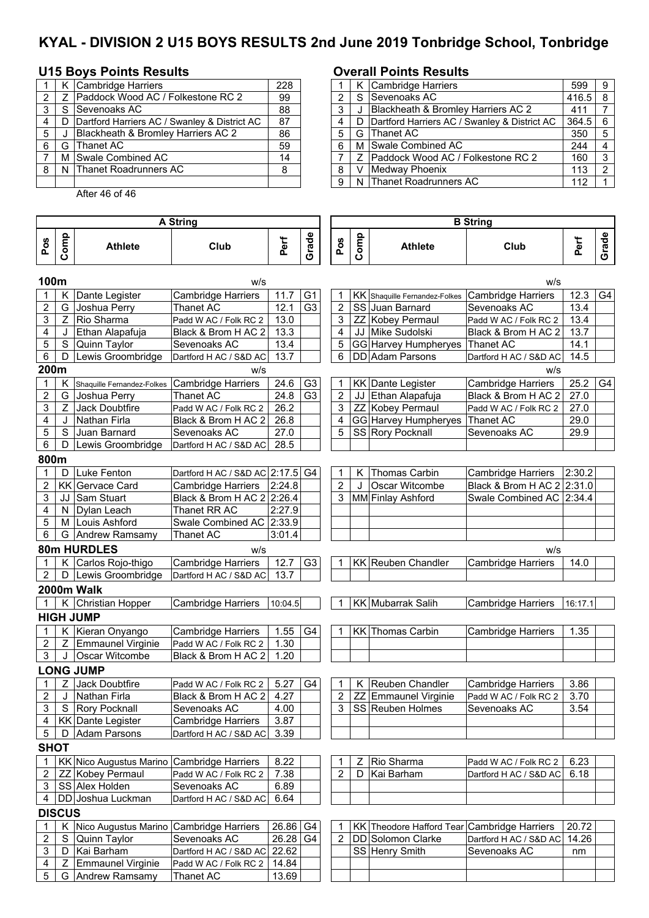# **KYAL - DIVISION 2 U15 BOYS RESULTS 2nd June 2019 Tonbridge School, Tonbridge**

## **U15 Boys Points Results Overall Points Results**

|   |    | K Cambridge Harriers                         | 228 |   |     | K Cambridge Harriers                           |
|---|----|----------------------------------------------|-----|---|-----|------------------------------------------------|
|   |    | Paddock Wood AC / Folkestone RC 2            | 99  |   |     | S Sevenoaks AC                                 |
|   |    | S Sevenoaks AC                               | 88  | 3 |     | Blackheath & Bromley Harriers AC 2             |
|   | D. | Dartford Harriers AC / Swanley & District AC | 87  | 4 |     | D Dartford Harriers AC / Swanley & District AC |
| 5 |    | Blackheath & Bromley Harriers AC 2           | 86  | 5 | G I | lThanet AC                                     |
| 6 | G  | Thanet AC                                    | 59  | 6 |     | M Swale Combined AC                            |
|   |    | M Swale Combined AC                          | 14  |   |     | Z   Paddock Wood AC / Folkestone RC 2          |
| 8 |    | N Thanet Roadrunners AC                      | 8   | 8 |     | Medway Phoenix                                 |
|   |    |                                              |     | 9 |     | N Thanet Roadrunners AC                        |

After 46 of 46

 $\overline{\phantom{a}}$ 

|    |       | K Cambridge Harriers                           | 228 |  | K Cambridge Harriers                           | 599   | 9 |
|----|-------|------------------------------------------------|-----|--|------------------------------------------------|-------|---|
|    |       | 2   Z Paddock Wood AC / Folkestone RC 2        | 99  |  | S Sevenoaks AC                                 | 416.5 |   |
|    | 3 I S | Sevenoaks AC                                   | 88  |  | J Blackheath & Bromley Harriers AC 2           | 411   |   |
| 4  |       | D Dartford Harriers AC / Swanley & District AC | 87  |  | D Dartford Harriers AC / Swanley & District AC | 364.5 |   |
| 5  |       | Blackheath & Bromley Harriers AC 2             | 86  |  | G Thanet AC                                    | 350   |   |
| 61 | G     | Thanet AC                                      | 59  |  | M Swale Combined AC                            | 244   |   |
|    |       | M Swale Combined AC                            | 14  |  | Z Paddock Wood AC / Folkestone RC 2            | 160   |   |
|    |       | 8   N Thanet Roadrunners AC                    | 8   |  | V Medway Phoenix                               | 113   |   |
|    |       |                                                |     |  | N Thanet Roadrunners AC                        | 112   |   |

 $\overline{\phantom{0}}$ 

|                    |               |                                            | <b>A String</b>               |         |                |                | <b>B</b> String |                                             |                            |         |       |  |
|--------------------|---------------|--------------------------------------------|-------------------------------|---------|----------------|----------------|-----------------|---------------------------------------------|----------------------------|---------|-------|--|
| Pos                | Comp          | <b>Athlete</b>                             | Club                          | Perf    | Grade          | Pos            | Comp            | <b>Athlete</b>                              | Club                       | Perf    | Grade |  |
| 100m               |               |                                            | w/s                           |         |                |                |                 |                                             | w/s                        |         |       |  |
|                    | Κ             | Dante Legister                             | <b>Cambridge Harriers</b>     | 11.7    | G <sub>1</sub> |                |                 | KK Shaquille Fernandez-Folkes               | <b>Cambridge Harriers</b>  | 12.3    | G4    |  |
| $\overline{c}$     | G             | Joshua Perry                               | <b>Thanet AC</b>              | 12.1    | G <sub>3</sub> | $\overline{2}$ |                 | SS Juan Barnard                             | Sevenoaks AC               | 13.4    |       |  |
| 3                  | Z             | Rio Sharma                                 | Padd W AC / Folk RC 2         | 13.0    |                | 3              |                 | ZZ Kobey Permaul                            | Padd W AC / Folk RC 2      | 13.4    |       |  |
| 4                  | J             | Ethan Alapafuja                            | Black & Brom H AC 2           | 13.3    |                | 4              |                 | JJ Mike Sudolski                            | Black & Brom H AC 2        | 13.7    |       |  |
| 5                  | S             | Quinn Taylor                               | Sevenoaks AC                  | 13.4    |                | 5              |                 | GG Harvey Humpheryes                        | <b>Thanet AC</b>           | 14.1    |       |  |
| 6                  | D             | Lewis Groombridge                          | Dartford H AC / S&D AC        | 13.7    |                | 6              |                 | <b>DD</b> Adam Parsons                      | Dartford H AC / S&D AC     | 14.5    |       |  |
| 200m               |               |                                            | w/s                           |         |                |                |                 |                                             | w/s                        |         |       |  |
| 1                  | Κ             | Shaquille Fernandez-Folkes                 | <b>Cambridge Harriers</b>     | 24.6    | G <sub>3</sub> | 1              |                 | KK Dante Legister                           | Cambridge Harriers         | 25.2    | G4    |  |
| $\overline{c}$     | G             | Joshua Perry                               | Thanet AC                     | 24.8    | G <sub>3</sub> | 2              |                 | JJ Ethan Alapafuja                          | Black & Brom H AC 2        | 27.0    |       |  |
| 3                  | Z             | Jack Doubtfire                             | Padd W AC / Folk RC 2         | 26.2    |                | $\mathfrak{S}$ |                 | ZZ Kobey Permaul                            | Padd W AC / Folk RC 2      | 27.0    |       |  |
| 4                  | J             | Nathan Firla                               | Black & Brom H AC 2           | 26.8    |                | 4              |                 | GG Harvey Humpheryes                        | <b>Thanet AC</b>           | 29.0    |       |  |
| 5                  | $\mathbf S$   | Juan Barnard                               | Sevenoaks AC                  | 27.0    |                | 5              |                 | SS Rory Pocknall                            | Sevenoaks AC               | 29.9    |       |  |
| 6                  | D             | Lewis Groombridge                          | Dartford H AC / S&D AC        | 28.5    |                |                |                 |                                             |                            |         |       |  |
|                    |               |                                            |                               |         |                |                |                 |                                             |                            |         |       |  |
| 800m               |               |                                            |                               |         |                |                |                 |                                             |                            |         |       |  |
| 1                  | D             | Luke Fenton                                | Dartford H AC / S&D AC 2:17.5 |         | G4             | 1              | Κ               | Thomas Carbin                               | Cambridge Harriers         | 2:30.2  |       |  |
| $\overline{2}$     |               | <b>KK</b> Gervace Card                     | Cambridge Harriers            | 2:24.8  |                | 2              | $\cdot$         | Oscar Witcombe                              | Black & Brom H AC 2 2:31.0 |         |       |  |
| 3                  |               | JJ Sam Stuart                              | Black & Brom H AC 2 2:26.4    |         |                | 3              |                 | MM Finlay Ashford                           | Swale Combined AC 2:34.4   |         |       |  |
| 4                  |               | N Dylan Leach                              | Thanet RR AC                  | 2:27.9  |                |                |                 |                                             |                            |         |       |  |
| 5                  |               | M Louis Ashford                            | Swale Combined AC 2:33.9      |         |                |                |                 |                                             |                            |         |       |  |
| 6                  |               | G Andrew Ramsamy                           | Thanet AC                     | 3:01.4  |                |                |                 |                                             |                            |         |       |  |
| 80m HURDLES<br>w/s |               |                                            |                               |         |                |                |                 |                                             | w/s                        |         |       |  |
| 1                  | K.            | Carlos Rojo-thigo                          | <b>Cambridge Harriers</b>     | 12.7    | G <sub>3</sub> | 1              |                 | KK Reuben Chandler                          | <b>Cambridge Harriers</b>  | 14.0    |       |  |
| $\overline{2}$     |               | D   Lewis Groombridge                      | Dartford H AC / S&D AC        | 13.7    |                |                |                 |                                             |                            |         |       |  |
|                    |               | 2000m Walk                                 |                               |         |                |                |                 |                                             |                            |         |       |  |
|                    |               |                                            |                               |         |                | 1              |                 |                                             |                            |         |       |  |
| $\mathbf 1$        |               | K Christian Hopper                         | Cambridge Harriers            | 10:04.5 |                |                |                 | <b>KK Mubarrak Salih</b>                    | <b>Cambridge Harriers</b>  | 16:17.1 |       |  |
|                    |               | <b>HIGH JUMP</b>                           |                               |         |                |                |                 |                                             |                            |         |       |  |
| 1                  |               | K Kieran Onyango                           | <b>Cambridge Harriers</b>     | 1.55    | G4             |                |                 | <b>KK Thomas Carbin</b>                     | <b>Cambridge Harriers</b>  | 1.35    |       |  |
| 2                  |               | Z Emmaunel Virginie                        | Padd W AC / Folk RC 2         | 1.30    |                |                |                 |                                             |                            |         |       |  |
| 3                  | J             | <b>Oscar Witcombe</b>                      | Black & Brom H AC 2           | 1.20    |                |                |                 |                                             |                            |         |       |  |
|                    |               | <b>LONG JUMP</b>                           |                               |         |                |                |                 |                                             |                            |         |       |  |
|                    | Z             | Jack Doubtfire                             | Padd W AC / Folk RC 2         | 5.27    | G4             | 1              | K               | Reuben Chandler                             | <b>Cambridge Harriers</b>  | 3.86    |       |  |
| 2                  |               | J Nathan Firla                             | Black & Brom H AC 2           | 4.27    |                | $\overline{2}$ |                 | ZZ Emmaunel Virginie                        | Padd W AC / Folk RC 2      | 3.70    |       |  |
|                    |               | 3 S Rory Pocknall                          | Sevenoaks AC                  | 4.00    |                | $\overline{3}$ |                 | SS Reuben Holmes                            | Sevenoaks AC               | 3.54    |       |  |
| 4                  |               | <b>KK Dante Legister</b>                   | <b>Cambridge Harriers</b>     | 3.87    |                |                |                 |                                             |                            |         |       |  |
| 5                  | D             | <b>Adam Parsons</b>                        | Dartford H AC / S&D AC        | 3.39    |                |                |                 |                                             |                            |         |       |  |
| <b>SHOT</b>        |               |                                            |                               |         |                |                |                 |                                             |                            |         |       |  |
|                    |               |                                            |                               |         |                |                |                 |                                             |                            |         |       |  |
| $\mathbf{1}$       |               | KK Nico Augustus Marino Cambridge Harriers |                               | 8.22    |                |                | Z               | Rio Sharma                                  | Padd W AC / Folk RC 2      | 6.23    |       |  |
| 2                  |               | ZZ Kobey Permaul                           | Padd W AC / Folk RC 2         | 7.38    |                | $\overline{2}$ | D               | Kai Barham                                  | Dartford H AC / S&D AC     | 6.18    |       |  |
| 3                  |               | SS Alex Holden                             | Sevenoaks AC                  | 6.89    |                |                |                 |                                             |                            |         |       |  |
| 4                  |               | DD Joshua Luckman                          | Dartford H AC / S&D AC        | 6.64    |                |                |                 |                                             |                            |         |       |  |
|                    | <b>DISCUS</b> |                                            |                               |         |                |                |                 |                                             |                            |         |       |  |
| 1                  |               | K Nico Augustus Marino Cambridge Harriers  |                               | 26.86   | G4             |                |                 | KK Theodore Hafford Tear Cambridge Harriers |                            | 20.72   |       |  |
| 2                  | S             | Quinn Taylor                               | Sevenoaks AC                  | 26.28   | G4             | $\overline{2}$ |                 | DD Solomon Clarke                           | Dartford H AC / S&D AC     | 14.26   |       |  |
| 3                  |               | D   Kai Barham                             | Dartford H AC / S&D AC        | 22.62   |                |                |                 | SS Henry Smith                              | Sevenoaks AC               | nm      |       |  |
| 4                  | Z             | <b>Emmaunel Virginie</b>                   | Padd W AC / Folk RC 2         | 14.84   |                |                |                 |                                             |                            |         |       |  |
| $\sqrt{5}$         |               | G   Andrew Ramsamy                         | Thanet AC                     | 13.69   |                |                |                 |                                             |                            |         |       |  |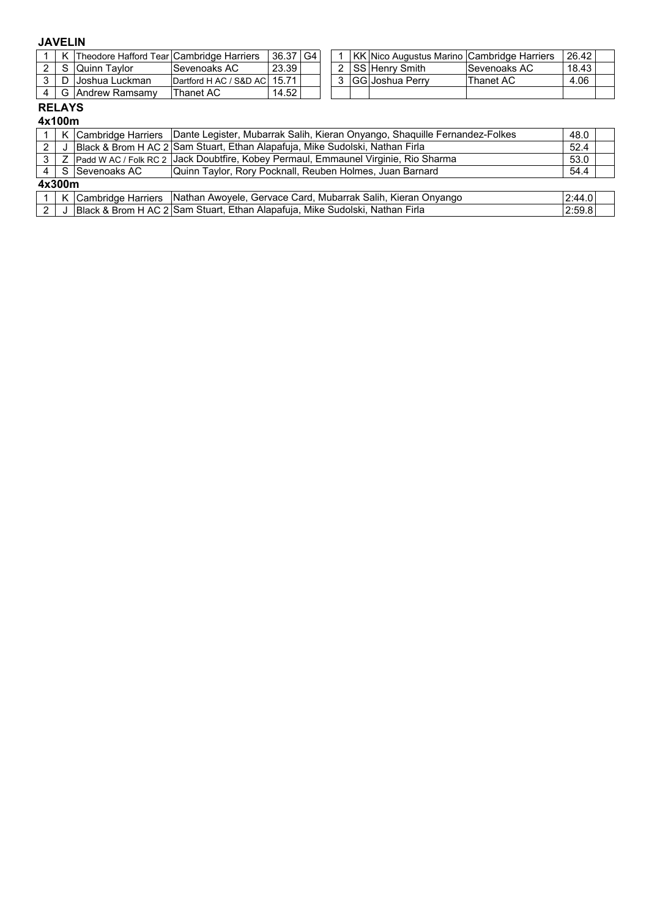### **JAVELIN**

|  | [Theodore Hafford Tear Cambridge Harriers] |                              | 36.37 | G4 |  | l KK lNico Augustus Marino lCambridge Harriers |               | 26.42 |  |
|--|--------------------------------------------|------------------------------|-------|----|--|------------------------------------------------|---------------|-------|--|
|  | <b>Quinn Tavlor</b>                        | ISevenoaks AC                | 23.39 |    |  | l SS lHenrv Smith_                             | lSevenoaks AC | 18.43 |  |
|  | Joshua Luckman                             | Dartford H AC / S&D AC 15.71 |       |    |  | <b>IGGIJoshua Perrv</b>                        | Thanet AC     | 4.06  |  |
|  | ⊟Andrew Ramsamv                            | Thanet AC                    | 14.52 |    |  |                                                |               |       |  |

# **RELAYS**

|     |        |                                                                                       | K Cambridge Harriers Dante Legister, Mubarrak Salih, Kieran Onyango, Shaquille Fernandez-Folkes | 48.0   |  |  |  |  |  |
|-----|--------|---------------------------------------------------------------------------------------|-------------------------------------------------------------------------------------------------|--------|--|--|--|--|--|
|     |        |                                                                                       | Black & Brom H AC 2 Sam Stuart, Ethan Alapafuja, Mike Sudolski, Nathan Firla                    | 52.4   |  |  |  |  |  |
| 3   |        | . Padd W AC / Folk RC 2 DJack Doubtfire, Kobey Permaul, Emmaunel Virginie, Rio Sharma |                                                                                                 |        |  |  |  |  |  |
|     |        | Quinn Taylor, Rory Pocknall, Reuben Holmes, Juan Barnard<br>4 S Sevenoaks AC          |                                                                                                 |        |  |  |  |  |  |
|     | 4x300m |                                                                                       |                                                                                                 |        |  |  |  |  |  |
|     |        |                                                                                       | K Cambridge Harriers   Nathan Awoyele, Gervace Card, Mubarrak Salih, Kieran Onyango             | 2:44.0 |  |  |  |  |  |
| 2 I |        | │ │Black & Brom H AC 2│Sam Stuart, Ethan Alapafuja, Mike Sudolski, Nathan Firla       |                                                                                                 |        |  |  |  |  |  |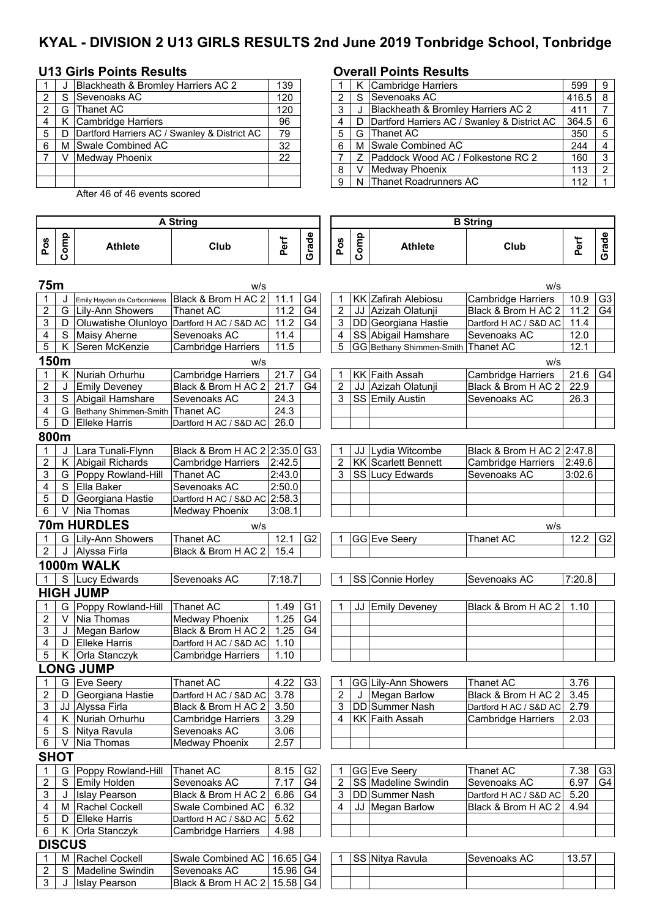# **KYAL - DIVISION 2 U13 GIRLS RESULTS 2nd June 2019 Tonbridge School, Tonbridge**

#### **U13 Girls Points Results Overall Points Results**

|   | Blackheath & Bromley Harriers AC 2           | 139 |   | K Cambridge Harriers                           | 599       | $\overline{9}$ |
|---|----------------------------------------------|-----|---|------------------------------------------------|-----------|----------------|
| ົ | Sevenoaks AC                                 | 120 |   | S Sevenoaks AC                                 | $416.5$ 8 |                |
|   | G Thanet AC                                  | 120 |   | Blackheath & Bromley Harriers AC 2             | 411       |                |
|   | Cambridge Harriers                           | 96  |   | D Dartford Harriers AC / Swanley & District AC | $364.5$ 6 |                |
| 5 | Dartford Harriers AC / Swanley & District AC | 79  |   | G Thanet AC                                    | 350       | $\vert 5$      |
| 6 | M Swale Combined AC                          | 32  | 6 | M Swale Combined AC                            | 244       | $\overline{4}$ |
|   | Medway Phoenix                               | 22  |   | Z   Paddock Wood AC / Folkestone RC 2          | 160       | $\vert$ 3      |
|   |                                              |     | 8 | V Medway Phoenix                               | 113       | l 2            |
|   |                                              |     |   | 9   N Thanet Roadrunners AC                    | 112       |                |
|   |                                              |     |   |                                                |           |                |

3 | J | Islay Pearson | Black & Brom H AC 2 | 15.58 G4

After 46 of 46 events scored

#### **Pos Comp Athlete Club Perf Grade Pos Comp Athlete Club Perf Grade 75m** w/s w/s J Emily Hayden de Carbonnieres Black & Brom H AC 2 | 11.1 | G4 | | 1 | KK Zafirah Alebiosu | Cambridge Harriers | 10.9 | G3 2 G Lily-Ann Showers Thanet AC 11.2 G4 2 JJ Azizah Olatunji Black & Brom H AC 2 11.2 G4 3 | D | Oluwatishe Olunloyo | Dartford H AC / S&D AC | 11.2 | G4 | 3 | DD | Georgiana Hastie | Dartford H AC / S&D AC | 11.4 4 S Maisy Aherne Sevenoaks AC 11.4 4 SS Abigail Hamshare Sevenoaks AC 12.0 5 | K Seren McKenzie | Cambridge Harriers | 11.5 | | | | 5 | GG | Bethany Shimmen-Smith | Thanet AC | 12.1 **150m** w/s w/s 1 | K | Nuriah Orhurhu | Cambridge Harriers | 21.7 | G4 | T | KK | Faith Assah | Cambridge Harriers | 21.6 | G4 2 J Emily Deveney Black & Brom H AC 2 21.7 G4 2 JJ Azizah Olatunji Black & Brom H AC 2 22.9<br>2 S Abigail Hamshare Sevenoaks AC 24.3 3 SS Emily Austin Sevenoaks AC 26.3 3 S Abigail Hamshare Sevenoaks AC 24.3<br>4 G Bethany Shimmen-Smith Thanet AC 24.3 G Bethany Shimmen-Smith 5 | D | Elleke Harris | Dartford H AC / S&D AC | 26.0 **800m** 1 J Lara Tunali-Flynn Black & Brom H AC 2 2:35.0 G3 1 JJ Lydia Witcombe Black & Brom H AC 2 2:47.8<br>2 K Abigail Richards Cambridge Harriers 2:42.5 2 KK Scarlett Bennett Cambridge Harriers 2:49.6 2 K Abigail Richards Cambridge Harriers 2:42.5 2 KK Scarlett Bennett Cambridge Harriers 2:49.6<br>2.43.0 3 S Lucy Edwards Sevenoaks AC 3:02.6 3 G Poppy Rowland-Hill 4 S Ella Baker Sevenoaks AC 2:50.0 5 | D Georgiana Hastie | Dartford H AC / S&D AC 2:58.3 6 V Nia Thomas Medway Phoenix 13:08.1 **70m HURDLES** w/s w/s 1 G Lily-Ann Showers Thanet AC 12.1 G2 1 GG Eve Seery Thanet AC 12.2 G2 2 J Alyssa Firla Black & Brom H AC 2 15.4 **1000m WALK** 1 S Lucy Edwards Sevenoaks AC 7:18.7 1 SS Connie Horley Sevenoaks AC 7:20.8 **HIGH JUMP** 1 G Poppy Rowland-Hill Thanet AC 1.49 G1 1 JJ Emily Deveney Black & Brom H AC 2 1.10 2 V Nia Thomas Medway Phoenix 1.25 G4<br>3 J Megan Barlow Black & Brom H AC 2 1.25 G4 J Megan Barlow Black & Brom H AC 2 1.25 G4 4 | D Elleke Harris | Dartford H AC / S&D AC 1.10 5 | K Orla Stanczyk | Cambridge Harriers | 1.10 **LONG JUMP**<br>1 | G | Eve Seery 1 G Eve Seery Thanet AC 4.22 G3 1 GG Lily-Ann Showers Thanet AC 3.76<br>2 D Georgiana Hastie Dartford H AC / S&D AC 3.78 2 J Megan Barlow Black & Brom H AC 2 3.45 2 D Georgiana Hastie Dartford H AC / S&D AC 3.78 2 J Megan Barlow Black & Brom H AC 2 3.45 3 | JJ Alyssa Firla Black & Brom H AC 2 | 3.50 | | | 3 | DD Summer Nash Dartford H AC / S&D AC | 2.79 4 K Nuriah Orhurhu (Cambridge Harriers | 3.29 | | | 4 KK Faith Assah (Cambridge Harriers | 2.03 5 S | Nitya Ravula | Sevenoaks AC | 3.06 6 | V | Nia Thomas | Medway Phoenix | 2.57 **SHOT**  1 G Poppy Rowland-Hill Thanet AC 18.15 G2 1 GG Eve Seery 1 Thanet AC 17.38 G3 2 S Emily Holden Sevenoaks AC 7.17 G4 2 SS Madeline Swindin Sevenoaks AC 6.97 G4 3 J Islay Pearson Black & Brom H AC 2 6.86 G4 3 DD Summer Nash Dartford H AC / S&D AC 5.20<br>4 JJ M Rachel Cockell Swale Combined AC 6.32 4 JJ Megan Barlow Black & Brom H AC 2 4.94 4 M Rachel Cockell Swale Combined AC 6.32 4 JJ Megan Barlow Black & Brom H AC 2<br>5 D Elleke Harris Dartford H AC / S&D AC 5.62 D Elleke Harris Dartford H AC / S&D AC 6 | K Orla Stanczyk | Cambridge Harriers | 4.98 **DISCUS** 1 | M Rachel Cockell Swale Combined AC | 16.65 | G4 | | 1 | SS | Nitya Ravula | Sevenoaks AC | 13.57 2 S Madeline Swindin Sevenoaks AC 15.96 G4 **A String B String**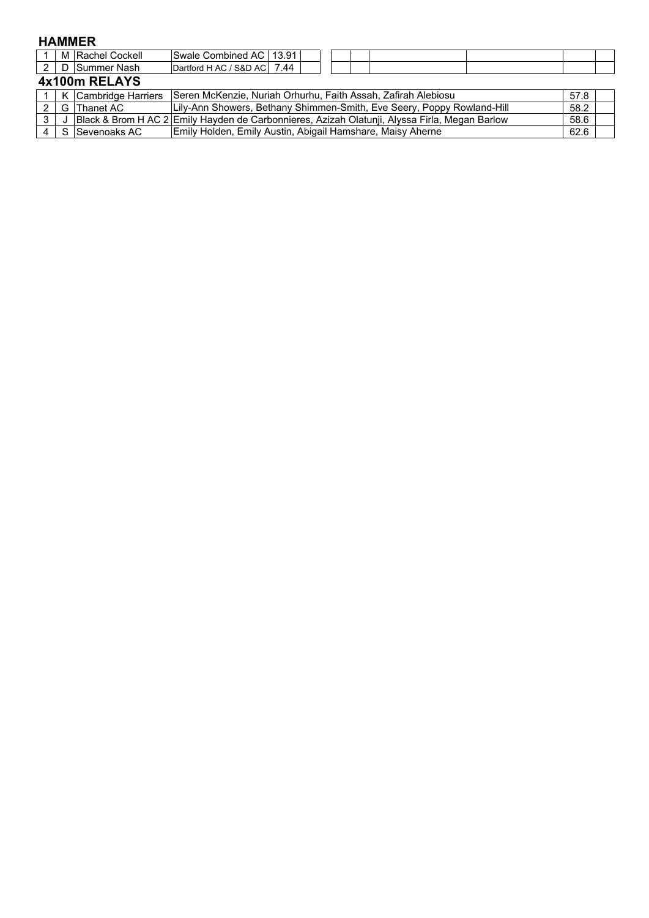### **HAMMER**

|               | M Rachel Cockell | Swale Combined AC   13.91                                                                     |                                                                        |  |  |  |  |      |      |  |  |
|---------------|------------------|-----------------------------------------------------------------------------------------------|------------------------------------------------------------------------|--|--|--|--|------|------|--|--|
|               | 2 D Summer Nash  | Dartford H AC / S&D AC 7.44                                                                   |                                                                        |  |  |  |  |      |      |  |  |
| 4x100m RELAYS |                  |                                                                                               |                                                                        |  |  |  |  |      |      |  |  |
|               |                  | 1   K Cambridge Harriers   Seren McKenzie, Nuriah Orhurhu, Faith Assah, Zafirah Alebiosu      |                                                                        |  |  |  |  |      | 57.8 |  |  |
|               | G Thanet AC      |                                                                                               | Lily-Ann Showers, Bethany Shimmen-Smith, Eve Seery, Poppy Rowland-Hill |  |  |  |  |      | 58.2 |  |  |
|               |                  | Black & Brom H AC 2 Emily Hayden de Carbonnieres, Azizah Olatunji, Alyssa Firla, Megan Barlow |                                                                        |  |  |  |  | 58.6 |      |  |  |

4 S Sevenoaks AC 62.6

Emily Holden, Emily Austin, Abigail Hamshare, Maisy Aherne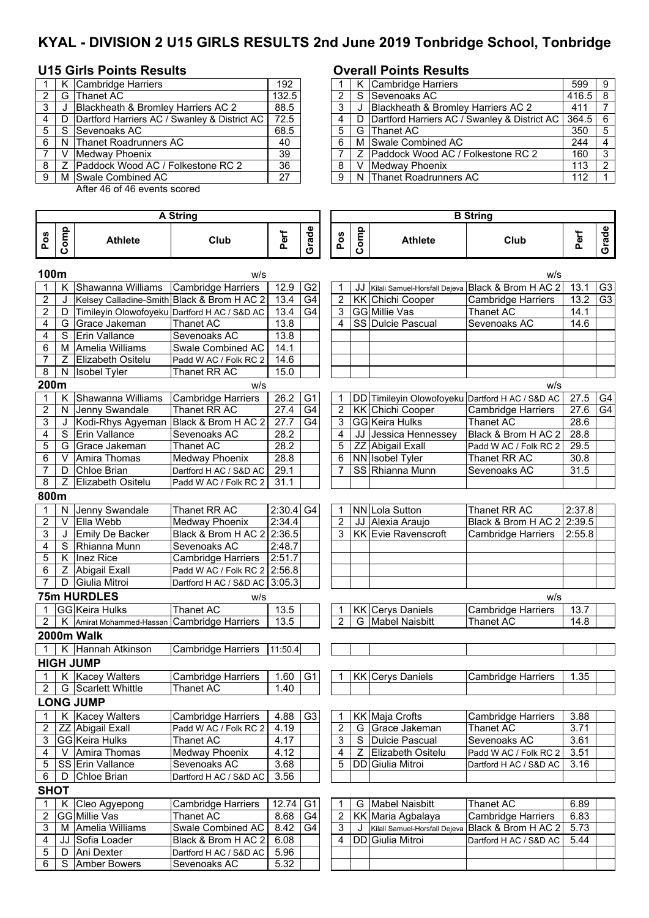# **KYAL - DIVISION 2 U15 GIRLS RESULTS 2nd June 2019 Tonbridge School, Tonbridge**

## **U15 Girls Points Results Overall Points Results**

|                |    | K Cambridge Harriers                                | 192   |     |    | K Cambridge Harriers                    |
|----------------|----|-----------------------------------------------------|-------|-----|----|-----------------------------------------|
| 2              | G  | Thanet AC                                           | 132.5 | 2   | S. | Sevenoaks AC                            |
| 3              | J  | <b>Blackheath &amp; Bromley Harriers AC 2</b>       | 88.5  | 3   |    | Blackheath & Bromley Harriers AC 2      |
|                | D  | Dartford Harriers AC / Swanley & District AC   72.5 |       |     | D  | Dartford Harriers AC / Swanley & Distri |
| 5 <sup>1</sup> | -S | Sevenoaks AC                                        | 68.5  | 5   |    | G Thanet AC                             |
| 6 I            |    | N Thanet Roadrunners AC                             | 40    | 6 I |    | M Swale Combined AC                     |
|                | V  | <b>Medway Phoenix</b>                               | 39    |     |    | Z   Paddock Wood AC / Folkestone RC 2   |
| 8 I            |    | Paddock Wood AC / Folkestone RC 2                   | 36    | 8   | V  | Medway Phoenix                          |
| 9              |    | M Swale Combined AC                                 | 27    | 9 I |    | N Thanet Roadrunners AC                 |
|                |    |                                                     |       |     |    |                                         |

After 46 of 46 events scored

|                | K Cambridge Harriers                           | 192   |   |   | K Cambridge Harriers                           | 599            | - 9            |
|----------------|------------------------------------------------|-------|---|---|------------------------------------------------|----------------|----------------|
| $\overline{2}$ | G Thanet AC                                    | 132.5 |   |   | S Sevenoaks AC                                 | $416.5$ 8      |                |
| 3 I            | Blackheath & Bromley Harriers AC 2             | 88.5  |   |   | Blackheath & Bromley Harriers AC 2             | 411            |                |
| 4              | D Dartford Harriers AC / Swanley & District AC | 72.5  |   |   | D Dartford Harriers AC / Swanley & District AC | $364.5 \mid 6$ |                |
| 5              | S ISevenoaks AC                                | 68.5  |   |   | G Thanet AC                                    | 350            | - 5            |
| 61             | N Thanet Roadrunners AC                        | 40    |   |   | M Swale Combined AC                            | 244            | $\overline{4}$ |
|                | V Medway Phoenix                               | 39    |   |   | Z   Paddock Wood AC / Folkestone RC 2          | 160            | -3             |
| 8 I            | Z Paddock Wood AC / Folkestone RC 2            | 36    | 8 | V | Medway Phoenix                                 | 113            | $\overline{2}$ |
| 9              | M Swale Combined AC                            | 27    | 9 |   | N Thanet Roadrunners AC                        | 112            |                |

| <b>A String</b>         |                    |                                              |                               |                   |                |                         | <b>B</b> String |                               |                                                 |                   |                |  |  |
|-------------------------|--------------------|----------------------------------------------|-------------------------------|-------------------|----------------|-------------------------|-----------------|-------------------------------|-------------------------------------------------|-------------------|----------------|--|--|
| Pos                     | Comp               | <b>Athlete</b>                               | Club                          | Perf              | Grade          | Pos                     | Comp            | <b>Athlete</b>                | Club                                            | Perf              | Grade          |  |  |
|                         | 100m<br>w/s<br>w/s |                                              |                               |                   |                |                         |                 |                               |                                                 |                   |                |  |  |
| 1                       | Κ                  | Shawanna Williams                            | <b>Cambridge Harriers</b>     | 12.9              | G <sub>2</sub> | 1                       | JJ              | Kilali Samuel-Horsfall Dejeva | Black & Brom H AC 2                             | 13.1              | G <sub>3</sub> |  |  |
| 2                       | J                  | Kelsey Calladine-Smith Black & Brom H AC 2   |                               | 13.4              | G4             | $\overline{c}$          |                 | <b>KK Chichi Cooper</b>       | <b>Cambridge Harriers</b>                       | 13.2              | G3             |  |  |
| $\overline{2}$          | D                  | Timileyin Olowofoyeku Dartford H AC / S&D AC |                               | 13.4              | G4             | 3                       |                 | <b>GG</b> Millie Vas          | Thanet AC                                       | 14.1              |                |  |  |
| 4                       | G                  | Grace Jakeman                                | Thanet AC                     | 13.8              |                | 4                       |                 | SS Dulcie Pascual             | Sevenoaks AC                                    | 14.6              |                |  |  |
| 4                       | S                  | <b>Erin Vallance</b>                         | Sevenoaks AC                  | 13.8              |                |                         |                 |                               |                                                 |                   |                |  |  |
| 6                       | м                  | Amelia Williams                              | Swale Combined AC             | 14.1              |                |                         |                 |                               |                                                 |                   |                |  |  |
| $\overline{7}$          | Ζ                  | <b>Elizabeth Ositelu</b>                     | Padd W AC / Folk RC 2         | 14.6              |                |                         |                 |                               |                                                 |                   |                |  |  |
| 8                       | N.                 | <b>Isobel Tyler</b>                          | Thanet RR AC                  | 15.0              |                |                         |                 |                               |                                                 |                   |                |  |  |
| 200m                    |                    |                                              | w/s                           |                   |                |                         |                 |                               | w/s                                             |                   |                |  |  |
| 1                       |                    | K Shawanna Williams                          | <b>Cambridge Harriers</b>     | 26.2              | G <sub>1</sub> | $\mathbf 1$             |                 |                               | DD Timileyin Olowofoyeku Dartford H AC / S&D AC | 27.5              | G4             |  |  |
| 2                       | N                  | Jenny Swandale                               | Thanet RR AC                  | $\overline{27.4}$ | G4             | 2                       |                 | <b>KK Chichi Cooper</b>       | <b>Cambridge Harriers</b>                       | 27.6              | G4             |  |  |
| 3                       |                    | Kodi-Rhys Agyeman                            | Black & Brom H AC 2           | 27.7              | G4             | 3                       |                 | GG Keira Hulks                | Thanet AC                                       | $28.\overline{6}$ |                |  |  |
| 4                       | S                  | Erin Vallance                                | Sevenoaks AC                  | 28.2              |                | 4                       | JJ              | Jessica Hennessey             | Black & Brom H AC 2                             | 28.8              |                |  |  |
| 5                       | G                  | Grace Jakeman                                | <b>Thanet AC</b>              | 28.2              |                | 5                       |                 | ZZ Abigail Exall              | Padd W AC / Folk RC 2                           | 29.5              |                |  |  |
| 6                       | V                  | Amira Thomas                                 | Medway Phoenix                | 28.8              |                | 6                       |                 | <b>NN</b> Isobel Tyler        | Thanet RR AC                                    | 30.8              |                |  |  |
| $\overline{7}$          | D                  | Chloe Brian                                  | Dartford H AC / S&D AC        | 29.1              |                | 7                       |                 | SS Rhianna Munn               | Sevenoaks AC                                    | 31.5              |                |  |  |
| 8                       | $\overline{Z}$     | Elizabeth Ositelu                            | Padd W AC / Folk RC 2         | 31.1              |                |                         |                 |                               |                                                 |                   |                |  |  |
| 800m                    |                    |                                              |                               |                   |                |                         |                 |                               |                                                 |                   |                |  |  |
| 1                       | N                  | Jenny Swandale                               | Thanet RR AC                  | $2:30.4$ G4       |                | 1                       |                 | NN Lola Sutton                | Thanet RR AC                                    | 2:37.8            |                |  |  |
| 2                       | V                  | Ella Webb                                    | Medway Phoenix                | 2:34.4            |                | 2                       |                 | JJ Alexia Araujo              | Black & Brom H AC 2 2:39.5                      |                   |                |  |  |
| 3                       | J                  | Emily De Backer                              | Black & Brom H AC 2           | 2:36.5            |                | 3                       |                 | KK Evie Ravenscroft           | <b>Cambridge Harriers</b>                       | 2:55.8            |                |  |  |
| 4                       | S                  | Rhianna Munn                                 | Sevenoaks AC                  | 2:48.7            |                |                         |                 |                               |                                                 |                   |                |  |  |
| 5                       | K.                 | Inez Rice                                    | Cambridge Harriers            | 2:51.7            |                |                         |                 |                               |                                                 |                   |                |  |  |
| 6                       | Ζ                  | Abigail Exall                                | Padd W AC / Folk RC 2 2:56.8  |                   |                |                         |                 |                               |                                                 |                   |                |  |  |
| 7                       | D                  | Giulia Mitroi                                | Dartford H AC / S&D AC 3:05.3 |                   |                |                         |                 |                               |                                                 |                   |                |  |  |
|                         |                    | 75m HURDLES                                  | w/s                           |                   |                |                         |                 |                               | w/s                                             |                   |                |  |  |
|                         |                    | GG Keira Hulks                               | Thanet AC                     | 13.5              |                | 1                       |                 | <b>KK</b> Cerys Daniels       | <b>Cambridge Harriers</b>                       | 13.7              |                |  |  |
| $\overline{2}$          | K.                 | Amirat Mohammed-Hassan                       | Cambridge Harriers            | 13.5              |                | $\overline{2}$          | G               | <b>Mabel Naisbitt</b>         | <b>Thanet AC</b>                                | 14.8              |                |  |  |
|                         |                    | 2000m Walk                                   |                               |                   |                |                         |                 |                               |                                                 |                   |                |  |  |
|                         |                    | K Hannah Atkinson                            | <b>Cambridge Harriers</b>     | 11:50.4           |                |                         |                 |                               |                                                 |                   |                |  |  |
|                         |                    | <b>HIGH JUMP</b>                             |                               |                   |                |                         |                 |                               |                                                 |                   |                |  |  |
|                         | K.                 | <b>Kacey Walters</b>                         | <b>Cambridge Harriers</b>     | 1.60              | G <sub>1</sub> | 1                       |                 | <b>KK</b> Cerys Daniels       | <b>Cambridge Harriers</b>                       | 1.35              |                |  |  |
| $\overline{c}$          |                    | G Scarlett Whittle                           | Thanet AC                     | 1.40              |                |                         |                 |                               |                                                 |                   |                |  |  |
|                         |                    | <b>LONG JUMP</b>                             |                               |                   |                |                         |                 |                               |                                                 |                   |                |  |  |
| 1                       |                    | K Kacey Walters                              | <b>Cambridge Harriers</b>     | 4.88              | G <sub>3</sub> | 1                       |                 | KK Maja Crofts                | <b>Cambridge Harriers</b>                       | 3.88              |                |  |  |
| $\overline{2}$          |                    | <b>ZZ</b> Abigail Exall                      | Padd W AC / Folk RC 2         | 4.19              |                | $\overline{\mathbf{c}}$ | G               | Grace Jakeman                 | Thanet AC                                       | 3.71              |                |  |  |
| 3                       |                    | <b>GG</b> Keira Hulks                        | Thanet AC                     | 4.17              |                | 3                       | S               | Dulcie Pascual                | Sevenoaks AC                                    | 3.61              |                |  |  |
| 4                       | V                  | Amira Thomas                                 | Medway Phoenix                | 4.12              |                | 4                       | Ζ               | <b>Elizabeth Ositelu</b>      | Padd W AC / Folk RC 2                           | 3.51              |                |  |  |
| 5                       |                    | SS Erin Vallance                             | Sevenoaks AC                  | 3.68              |                | 5                       |                 | DD Giulia Mitroi              | Dartford H AC / S&D AC                          | 3.16              |                |  |  |
| 6                       | D                  | Chloe Brian                                  | Dartford H AC / S&D AC        | 3.56              |                |                         |                 |                               |                                                 |                   |                |  |  |
|                         | <b>SHOT</b>        |                                              |                               |                   |                |                         |                 |                               |                                                 |                   |                |  |  |
| 1                       | Κ                  | Cleo Agyepong                                | <b>Cambridge Harriers</b>     | 12.74             | G <sub>1</sub> | 1                       |                 | G Mabel Naisbitt              | Thanet AC                                       | 6.89              |                |  |  |
| $\overline{\mathbf{c}}$ |                    | GG Millie Vas                                | Thanet AC                     | 8.68              | G4             | 2                       |                 | KK Maria Agbalaya             | <b>Cambridge Harriers</b>                       | 6.83              |                |  |  |
| 3                       |                    | M Amelia Williams                            | Swale Combined AC             | 8.42              | G4             | 3                       | J               | Kilali Samuel-Horsfall Dejeva | Black & Brom H AC 2                             | 5.73              |                |  |  |
| 4                       | JJ                 | Sofia Loader                                 | Black & Brom H AC 2           | 6.08              |                | 4                       |                 | DD Giulia Mitroi              | Dartford H AC / S&D AC                          | 5.44              |                |  |  |
| 5                       | D                  | Ani Dexter                                   | Dartford H AC / S&D AC        | 5.96              |                |                         |                 |                               |                                                 |                   |                |  |  |
| 6                       | S                  | <b>Amber Bowers</b>                          | Sevenoaks AC                  | 5.32              |                |                         |                 |                               |                                                 |                   |                |  |  |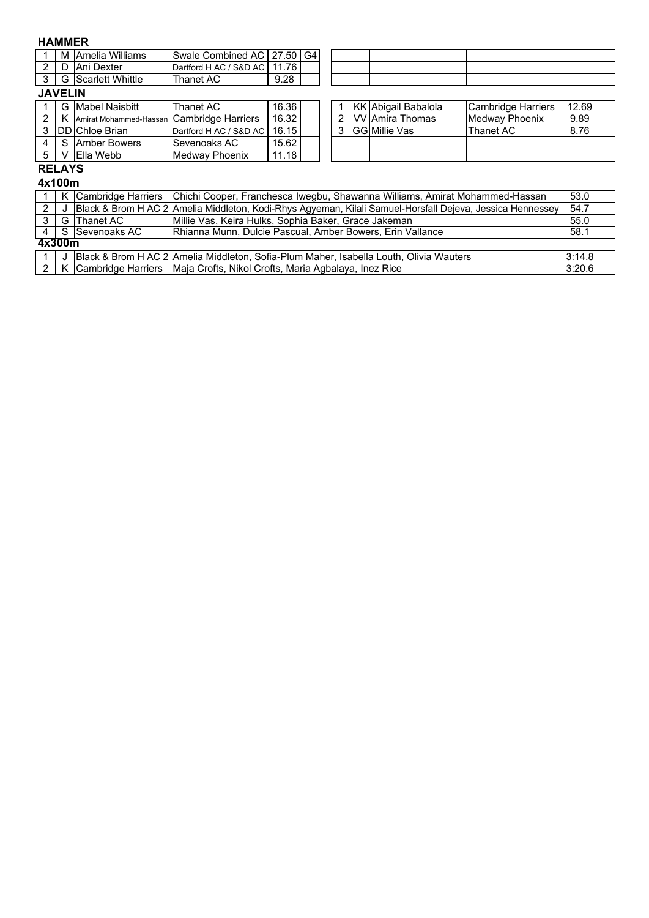#### **HAMMER**

| --------------- |   |                            |                             |                        |    |  |  |  |  |
|-----------------|---|----------------------------|-----------------------------|------------------------|----|--|--|--|--|
|                 | M | Williams<br><b>IAmelia</b> | <b>ISwale Combined AC I</b> | 27.50                  | G4 |  |  |  |  |
| -               |   | Dexter<br>Ani              | ' S&D AC<br>Dartford H AC / | 1.76<br>$\overline{A}$ |    |  |  |  |  |
| ີ               | ت | Scarlett Whittle           | Thanet AC                   | 9.28                   |    |  |  |  |  |
|                 |   |                            |                             |                        |    |  |  |  |  |

### **JAVELIN**

|  | G IMabel Naisbitt                         | Thanet AC                      | 16.36 |  | KK Abigail Babalola  | Cambridge Harriers     | 12.69 |
|--|-------------------------------------------|--------------------------------|-------|--|----------------------|------------------------|-------|
|  | Amirat Mohammed-Hassan Cambridge Harriers |                                | 16.32 |  | I VV lAmira Thomas   | <b>IMedway Phoenix</b> | 9.89  |
|  | <b>IDDIChloe Brian</b>                    | Dartford H AC / S&D AC   16.15 |       |  | <b>GG Millie Vas</b> | Thanet AC              | 8.76  |
|  | I S Amber Bowers                          | <b>Sevenoaks AC</b>            | 15.62 |  |                      |                        |       |
|  | IElla Webb                                | Medway Phoenix                 | 11.18 |  |                      |                        |       |

|               | KK Abigail Babalola  | Cambridge Harriers    | 12.69 |  |
|---------------|----------------------|-----------------------|-------|--|
| $\mathcal{P}$ | VV Amira Thomas      | <b>Medway Phoenix</b> | 9.89  |  |
|               | <b>GG</b> Millie Vas | lThanet AC            | 8.76  |  |
|               |                      |                       |       |  |
|               |                      |                       |       |  |

#### **RELAYS 4x100m**

|                |        |                  | K Cambridge Harriers Chichi Cooper, Franchesca Iwegbu, Shawanna Williams, Amirat Mohammed-Hassan            | 53.0   |  |
|----------------|--------|------------------|-------------------------------------------------------------------------------------------------------------|--------|--|
| 2              |        |                  | J Black & Brom H AC 2 Amelia Middleton, Kodi-Rhys Agyeman, Kilali Samuel-Horsfall Dejeva, Jessica Hennessey | 54.7   |  |
|                |        | G Thanet AC      | Millie Vas, Keira Hulks, Sophia Baker, Grace Jakeman                                                        | 55.0   |  |
|                |        | 4 S Sevenoaks AC | Rhianna Munn, Dulcie Pascual, Amber Bowers, Erin Vallance                                                   | 58.1   |  |
|                | 4x300m |                  |                                                                                                             |        |  |
|                |        |                  | Black & Brom H AC 2 Amelia Middleton, Sofia-Plum Maher, Isabella Louth, Olivia Wauters                      | 3:14.8 |  |
| $\overline{2}$ |        |                  | K Cambridge Harriers Maja Crofts, Nikol Crofts, Maria Agbalaya, Inez Rice                                   | 3:20.6 |  |
|                |        |                  |                                                                                                             |        |  |